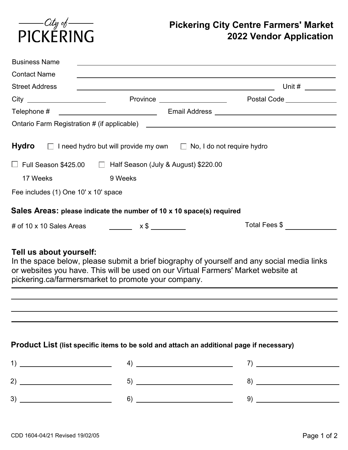

# **Pickering City Centre Farmers' Market 2022 Vendor Application**

| <b>Contact Name</b>                  |                                                                                            |                                                                                                                                                                                                                                                                                                                                                                                                                                                                                                                 |
|--------------------------------------|--------------------------------------------------------------------------------------------|-----------------------------------------------------------------------------------------------------------------------------------------------------------------------------------------------------------------------------------------------------------------------------------------------------------------------------------------------------------------------------------------------------------------------------------------------------------------------------------------------------------------|
| <b>Street Address</b>                |                                                                                            |                                                                                                                                                                                                                                                                                                                                                                                                                                                                                                                 |
|                                      | Province ___________________                                                               | Postal Code ______________                                                                                                                                                                                                                                                                                                                                                                                                                                                                                      |
|                                      |                                                                                            |                                                                                                                                                                                                                                                                                                                                                                                                                                                                                                                 |
|                                      |                                                                                            |                                                                                                                                                                                                                                                                                                                                                                                                                                                                                                                 |
|                                      | <b>Hydro</b> $\Box$ I need hydro but will provide my own $\Box$ No, I do not require hydro |                                                                                                                                                                                                                                                                                                                                                                                                                                                                                                                 |
|                                      |                                                                                            |                                                                                                                                                                                                                                                                                                                                                                                                                                                                                                                 |
|                                      | Full Season \$425.00 □ Half Season (July & August) \$220.00                                |                                                                                                                                                                                                                                                                                                                                                                                                                                                                                                                 |
| 17 Weeks                             | 9 Weeks                                                                                    |                                                                                                                                                                                                                                                                                                                                                                                                                                                                                                                 |
| Fee includes (1) One 10' x 10' space |                                                                                            |                                                                                                                                                                                                                                                                                                                                                                                                                                                                                                                 |
|                                      | Sales Areas: please indicate the number of 10 x 10 space(s) required                       |                                                                                                                                                                                                                                                                                                                                                                                                                                                                                                                 |
|                                      | # of 10 x 10 Sales Areas __________ x \$ ________                                          | Total Fees \$                                                                                                                                                                                                                                                                                                                                                                                                                                                                                                   |
|                                      |                                                                                            |                                                                                                                                                                                                                                                                                                                                                                                                                                                                                                                 |
| Tell us about yourself:              | or websites you have. This will be used on our Virtual Farmers' Market website at          | In the space below, please submit a brief biography of yourself and any social media links                                                                                                                                                                                                                                                                                                                                                                                                                      |
|                                      | pickering.ca/farmersmarket to promote your company.                                        |                                                                                                                                                                                                                                                                                                                                                                                                                                                                                                                 |
|                                      |                                                                                            |                                                                                                                                                                                                                                                                                                                                                                                                                                                                                                                 |
|                                      |                                                                                            |                                                                                                                                                                                                                                                                                                                                                                                                                                                                                                                 |
|                                      |                                                                                            |                                                                                                                                                                                                                                                                                                                                                                                                                                                                                                                 |
|                                      | Product List (list specific items to be sold and attach an additional page if necessary)   |                                                                                                                                                                                                                                                                                                                                                                                                                                                                                                                 |
|                                      |                                                                                            |                                                                                                                                                                                                                                                                                                                                                                                                                                                                                                                 |
|                                      |                                                                                            | $\left( \begin{array}{ccc} 4) & \begin{array}{ccc} \multicolumn{2}{c}{} & \multicolumn{2}{c}{} \end{array} & \multicolumn{2}{c}{} & \multicolumn{2}{c}{} \end{array} & \begin{array}{ccc} & 7) & \begin{array}{ccc} \multicolumn{2}{c}{} & \multicolumn{2}{c}{} & \multicolumn{2}{c}{} \end{array} & \begin{array}{ccc} \multicolumn{2}{c}{} & \multicolumn{2}{c}{} \end{array} & \begin{array}{ccc} \multicolumn{2}{c}{} & \multicolumn{2}{c}{} & \multicolumn{2}{c}{} \end{array} & \begin{array}{ccc} \mult$ |